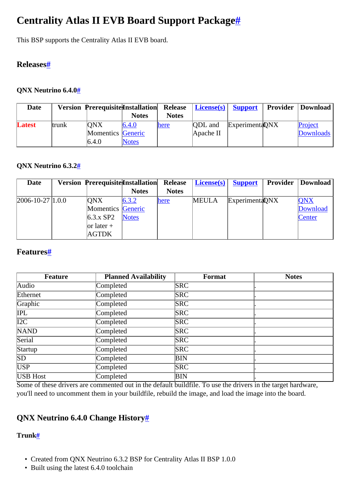# <span id="page-0-0"></span>**Centrality Atlas II EVB Board Support Packag[e#](#page-0-0)**

This BSP supports the Centrality Atlas II EVB board.

# <span id="page-0-1"></span>**Release[s#](#page-0-1)**

## <span id="page-0-2"></span>**QNX Neutrino 6.4.[0#](#page-0-2)**

| Date   |       | <b>Version Prerequisite Installation</b> |              | <b>Release</b> | <b>License(s)</b> Support |                 | Provider | Download         |
|--------|-------|------------------------------------------|--------------|----------------|---------------------------|-----------------|----------|------------------|
|        |       |                                          | <b>Notes</b> | <b>Notes</b>   |                           |                 |          |                  |
| Latest | trunk | <b>ONX</b>                               | 6.4.0        | here           | <b>QDL</b> and            | Experimenta DNX |          | Project          |
|        |       | <b>Momentics</b> Generic                 |              |                | Apache II                 |                 |          | <b>Downloads</b> |
|        |       | 6.4.0                                    | <b>Notes</b> |                |                           |                 |          |                  |

### <span id="page-0-3"></span>**QNX Neutrino 6.3.[2#](#page-0-3)**

| <b>Date</b>            | <b>Version Prerequisite Installation</b> |              | <b>Release</b> | $License(s)$ | <b>Support</b>  | <b>Provider</b> | Download   |
|------------------------|------------------------------------------|--------------|----------------|--------------|-----------------|-----------------|------------|
|                        |                                          | <b>Notes</b> | <b>Notes</b>   |              |                 |                 |            |
| $[2006 - 10 - 27]1.00$ | <b>ONX</b>                               | 6.3.2        | here           | <b>MEULA</b> | Experimenta ONX |                 | <b>QNX</b> |
|                        | Momentics Generic                        |              |                |              |                 |                 | Download   |
|                        | $6.3.x$ SP2                              | <b>Notes</b> |                |              |                 |                 | Center     |
|                        | $\vert$ or 1 ater +                      |              |                |              |                 |                 |            |
|                        | AGTDK                                    |              |                |              |                 |                 |            |

## <span id="page-0-4"></span>**Features[#](#page-0-4)**

| <b>Feature</b>   | <b>Planned Availability</b> | Format     | <b>Notes</b> |
|------------------|-----------------------------|------------|--------------|
| Audio            | Completed                   | <b>SRC</b> |              |
| Ethernet         | Completed                   | <b>SRC</b> |              |
| Graphic          | Completed                   | <b>SRC</b> |              |
| <b>IPL</b>       | Completed                   | <b>SRC</b> |              |
| $\overline{I2C}$ | Completed                   | <b>SRC</b> |              |
| <b>NAND</b>      | Completed                   | <b>SRC</b> |              |
| Serial           | Completed                   | <b>SRC</b> |              |
| Startup          | Completed                   | <b>SRC</b> |              |
| SD               | Completed                   | BIN        |              |
| USP              | Completed                   | <b>SRC</b> |              |
| USB Host         | Completed                   | BIN        |              |

Some of these drivers are commented out in the default buildfile. To use the drivers in the target hardware, you'll need to uncomment them in your buildfile, rebuild the image, and load the image into the board.

# <span id="page-0-5"></span>**QNX Neutrino 6.4.0 Change History[#](#page-0-5)**

### <span id="page-0-6"></span>**Trunk[#](#page-0-6)**

- Created from QNX Neutrino 6.3.2 BSP for Centrality Atlas II BSP 1.0.0
- Built using the latest 6.4.0 toolchain